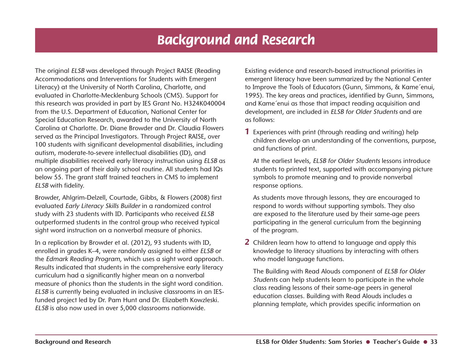## *Background and Research*

The original ELSB was developed through Project RAISE (Reading Accommodations and Interventions for Students with Emergent Literacy) at the University of North Carolina, Charlotte, and evaluated in Charlotte-Mecklenburg Schools (CMS). Support for this research was provided in part by IES Grant No. H324K040004 from the U.S. Department of Education, National Center for Special Education Research, awarded to the University of North Carolina at Charlotte. Dr. Diane Browder and Dr. Claudia Flowers served as the Principal Investigators. Through Project RAISE, over 100 students with significant developmental disabilities, including autism, moderate-to-severe intellectual disabilities (ID), and multiple disabilities received early literacy instruction using ELSB as an ongoing part of their daily school routine. All students had IQs below 55. The grant staff trained teachers in CMS to implement ELSB with fidelity.

Browder, Ahlgrim-Delzell, Courtade, Gibbs, & Flowers (2008) first evaluated Early Literacy Skills Builder in a randomized control study with 23 students with ID. Participants who received ELSB outperformed students in the control group who received typical sight word instruction on a nonverbal measure of phonics.

In a replication by Browder et al. (2012), 93 students with ID, enrolled in grades K–4, were randomly assigned to either ELSB or the Edmark Reading Program, which uses a sight word approach. Results indicated that students in the comprehensive early literacy curriculum had a significantly higher mean on a nonverbal measure of phonics than the students in the sight word condition. ELSB is currently being evaluated in inclusive classrooms in an IESfunded project led by Dr. Pam Hunt and Dr. Elizabeth Kowzleski. ELSB is also now used in over 5,000 classrooms nationwide.

Existing evidence and research-based instructional priorities in emergent literacy have been summarized by the National Center to Improve the Tools of Educators (Gunn, Simmons, & Kame´enui, 1995). The key areas and practices, identified by Gunn, Simmons, and Kame´enui as those that impact reading acquisition and development, are included in ELSB for Older Students and are as follows:

*1* Experiences with print (through reading and writing) help children develop an understanding of the conventions, purpose, and functions of print.

 At the earliest levels, ELSB for Older Students lessons introduce students to printed text, supported with accompanying picture symbols to promote meaning and to provide nonverbal response options.

 As students move through lessons, they are encouraged to respond to words without supporting symbols. They also are exposed to the literature used by their same-age peers participating in the general curriculum from the beginning of the program.

*2* Children learn how to attend to language and apply this knowledge to literacy situations by interacting with others who model language functions.

 The Building with Read Alouds component of ELSB for Older Students can help students learn to participate in the whole class reading lessons of their same-age peers in general education classes. Building with Read Alouds includes a planning template, which provides specific information on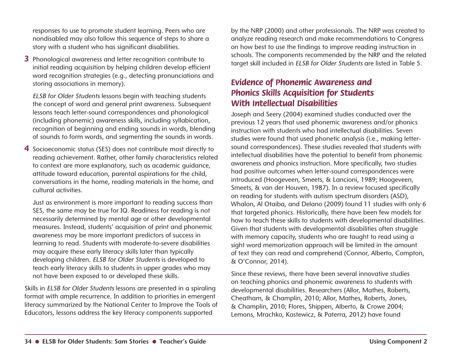responses to use to promote student learning. Peers who are nondisabled may also follow this sequence of steps to share a story with a student who has significant disabilities.

*3* Phonological awareness and letter recognition contribute to initial reading acquisition by helping children develop efficient word recognition strategies (e.g., detecting pronunciations and storing associations in memory).

ELSB for Older Students lessons begin with teaching students the concept of word and general print awareness. Subsequent lessons teach letter-sound correspondences and phonological (including phonemic) awareness skills, including syllabication, recognition of beginning and ending sounds in words, blending of sounds to form words, and segmenting the sounds in words.

*4* Socioeconomic status (SES) does not contribute most directly to reading achievement. Rather, other family characteristics related to context are more explanatory, such as academic guidance, attitude toward education, parental aspirations for the child, conversations in the home, reading materials in the home, and cultural activities.

 Just as environment is more important to reading success than SES, the same may be true for IQ. Readiness for reading is not necessarily determined by mental age or other developmental measures. Instead, students' acquisition of print and phonemic awareness may be more important predictors of success in learning to read. Students with moderate-to-severe disabilities may acquire these early literacy skills later than typically developing children. ELSB for Older Students is developed to teach early literacy skills to students in upper grades who may not have been exposed to or developed these skills.

Skills in ELSB for Older Students lessons are presented in a spiraling format with ample recurrence. In addition to priorities in emergent literacy summarized by the National Center to Improve the Tools of Educators, lessons address the key literacy components supported

by the NRP (2000) and other professionals. The NRP was created to analyze reading research and make recommendations to Congress on how best to use the findings to improve reading instruction in schools. The components recommended by the NRP and the related target skill included in ELSB for Older Students are listed in Table 5.

## *Evidence of Phonemic Awareness and Phonics Skills Acquisition for Students With Intellectual Disabilities*

Joseph and Seery (2004) examined studies conducted over the previous 12 years that used phonemic awareness and/or phonics instruction with students who had intellectual disabilities. Seven studies were found that used phonetic analysis (i.e., making lettersound correspondences). These studies revealed that students with intellectual disabilities have the potential to benefit from phonemic awareness and phonics instruction. More specifically, two studies had positive outcomes when letter-sound correspondences were introduced (Hoogeveen, Smeets, & Lancioni, 1989; Hoogeveen, Smeets, & van der Houven, 1987). In a review focused specifically on reading for students with autism spectrum disorders (ASD), Whalon, Al Otaiba, and Delano (2009) found 11 studies with only 6 that targeted phonics. Historically, there have been few models for how to teach these skills to students with developmental disabilities. Given that students with developmental disabilities often struggle with memory capacity, students who are taught to read using a sight word memorization approach will be limited in the amount of text they can read and comprehend (Connor, Alberto, Compton, & O'Connor, 2014).

Since these reviews, there have been several innovative studies on teaching phonics and phonemic awareness to students with developmental disabilities. Researchers (Allor, Mathes, Roberts, Cheatham, & Champlin, 2010; Allor, Mathes, Roberts, Jones, & Champlin, 2010; Flores, Shippen, Alberto, & Crowe 2004; Lemons, Mrachko, Kostewicz, & Paterra, 2012) have found